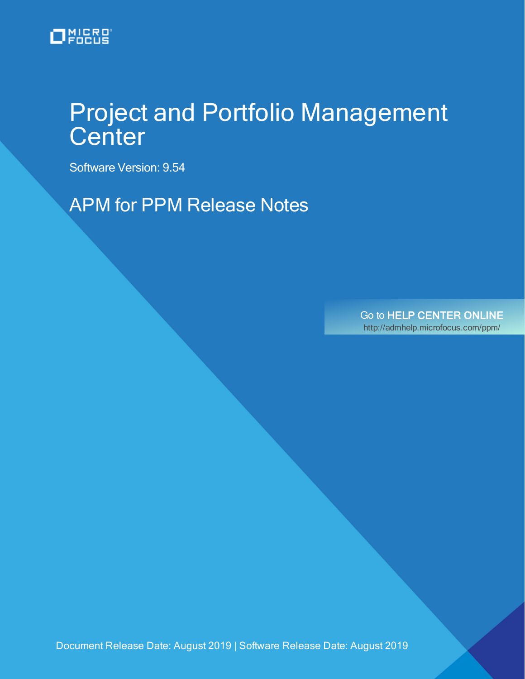

ì

## <span id="page-0-0"></span>Project and Portfolio Management **Center**

Software Version: 9.54

APM for PPM Release Notes

Go to [HELP CENTER ONLINE](http://admhelp.microfocus.com/ppm/) http://admhelp.microfocus.com/ppm/

Document Release Date: August 2019 | Software Release Date: August 2019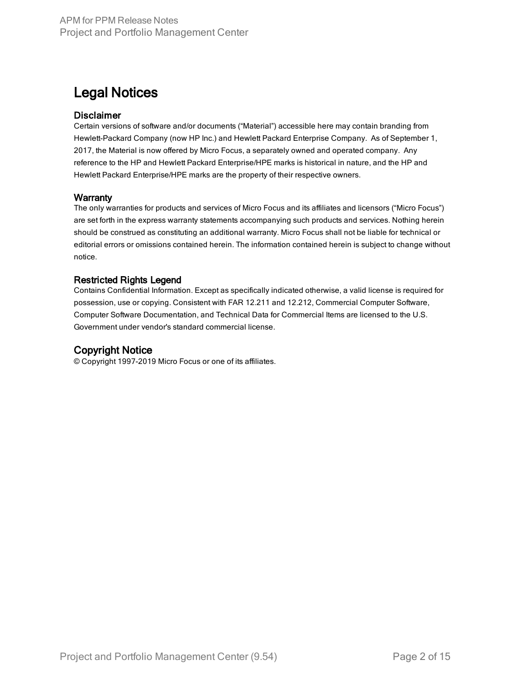#### Legal Notices

#### **Disclaimer**

Certain versions of software and/or documents ("Material") accessible here may contain branding from Hewlett-Packard Company (now HP Inc.) and Hewlett Packard Enterprise Company. As of September 1, 2017, the Material is now offered by Micro Focus, a separately owned and operated company. Any reference to the HP and Hewlett Packard Enterprise/HPE marks is historical in nature, and the HP and Hewlett Packard Enterprise/HPE marks are the property of their respective owners.

#### **Warranty**

The only warranties for products and services of Micro Focus and its affiliates and licensors ("Micro Focus") are set forth in the express warranty statements accompanying such products and services. Nothing herein should be construed as constituting an additional warranty. Micro Focus shall not be liable for technical or editorial errors or omissions contained herein. The information contained herein is subject to change without notice.

#### Restricted Rights Legend

Contains Confidential Information. Except as specifically indicated otherwise, a valid license is required for possession, use or copying. Consistent with FAR 12.211 and 12.212, Commercial Computer Software, Computer Software Documentation, and Technical Data for Commercial Items are licensed to the U.S. Government under vendor's standard commercial license.

#### Copyright Notice

© Copyright 1997-2019 Micro Focus or one of its affiliates.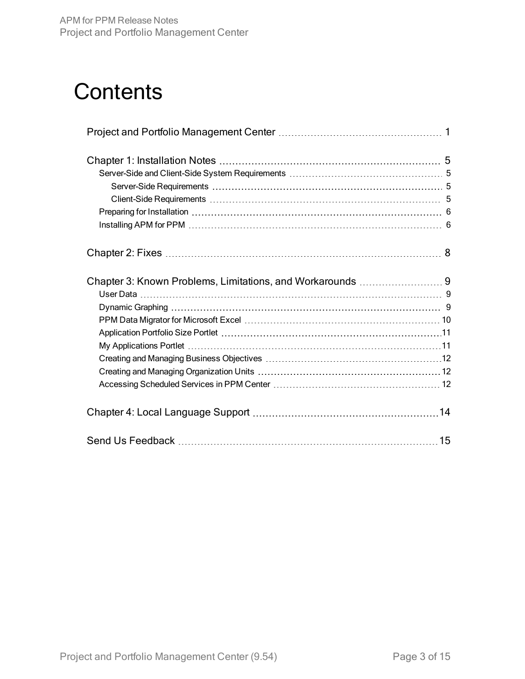# **Contents**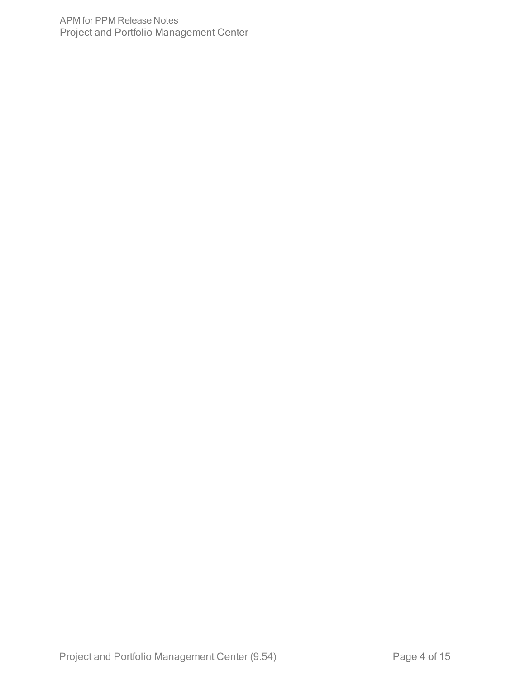APM for PPM Release Notes Project and Portfolio Management Center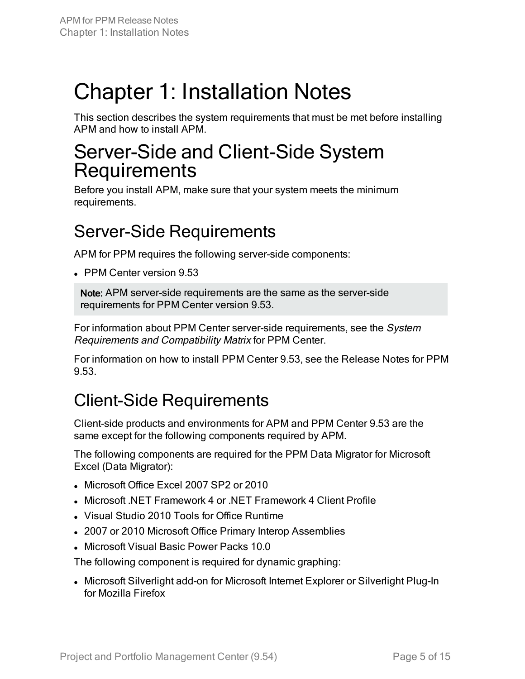# <span id="page-4-0"></span>Chapter 1: Installation Notes

<span id="page-4-1"></span>This section describes the system requirements that must be met before installing APM and how to install APM.

### Server-Side and Client-Side System Requirements

Before you install APM, make sure that your system meets the minimum requirements.

#### <span id="page-4-2"></span>Server-Side Requirements

APM for PPM requires the following server-side components:

• PPM Center version 9.53

Note: APM server-side requirements are the same as the server-side requirements for PPM Center version 9.53.

For information about PPM Center server-side requirements, see the System Requirements and Compatibility Matrix for PPM Center.

For information on how to install PPM Center 9.53, see the Release Notes for PPM 9.53.

### <span id="page-4-3"></span>Client-Side Requirements

Client-side products and environments for APM and PPM Center 9.53 are the same except for the following components required by APM.

The following components are required for the PPM Data Migrator for Microsoft Excel (Data Migrator):

- Microsoft Office Excel 2007 SP2 or 2010
- Microsoft .NET Framework 4 or .NET Framework 4 Client Profile
- Visual Studio 2010 Tools for Office Runtime
- 2007 or 2010 Microsoft Office Primary Interop Assemblies
- Microsoft Visual Basic Power Packs 10.0

The following component is required for dynamic graphing:

• Microsoft Silverlight add-on for Microsoft Internet Explorer or Silverlight Plug-In for Mozilla Firefox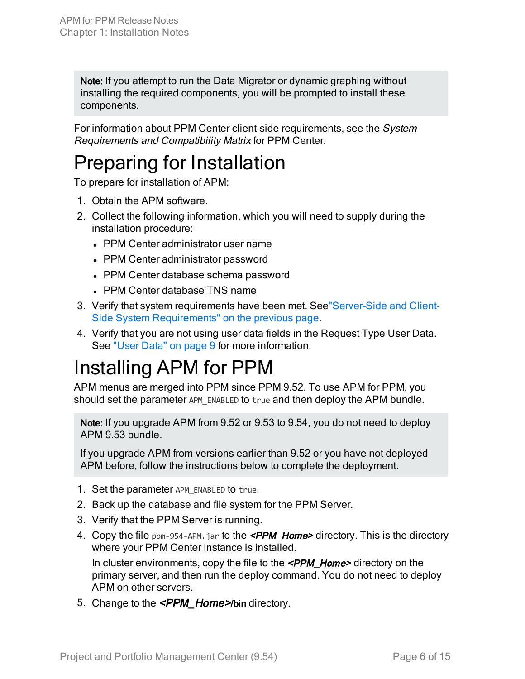Note: If you attempt to run the Data Migrator or dynamic graphing without installing the required components, you will be prompted to install these components.

<span id="page-5-0"></span>For information about PPM Center client-side requirements, see the System Requirements and Compatibility Matrix for PPM Center.

### Preparing for Installation

To prepare for installation of APM:

- 1. Obtain the APM software.
- 2. Collect the following information, which you will need to supply during the installation procedure:
	- PPM Center administrator user name
	- PPM Center administrator password
	- PPM Center database schema password
	- PPM Center database TNS name
- 3. Verify that system requirements have been met. Se[e"Server-Side](#page-4-1) and Client-Side System [Requirements"](#page-4-1) on the previous page.
- <span id="page-5-1"></span>4. Verify that you are not using user data fields in the Request Type User Data. See "User Data" on [page 9](#page-8-1) for more information.

## Installing APM for PPM

APM menus are merged into PPM since PPM 9.52. To use APM for PPM, you should set the parameter APM\_ENABLED to true and then deploy the APM bundle.

Note: If you upgrade APM from 9.52 or 9.53 to 9.54, you do not need to deploy APM 9.53 bundle.

If you upgrade APM from versions earlier than 9.52 or you have not deployed APM before, follow the instructions below to complete the deployment.

- 1. Set the parameter APM\_ENABLED to true.
- 2. Back up the database and file system for the PPM Server.
- 3. Verify that the PPM Server is running.
- 4. Copy the file ppm-954-APM.jar to the <PPM\_Home> directory. This is the directory where your PPM Center instance is installed.

In cluster environments, copy the file to the  $\leq$ PPM\_Home> directory on the primary server, and then run the deploy command. You do not need to deploy APM on other servers.

5. Change to the <PPM\_Home>/bin directory.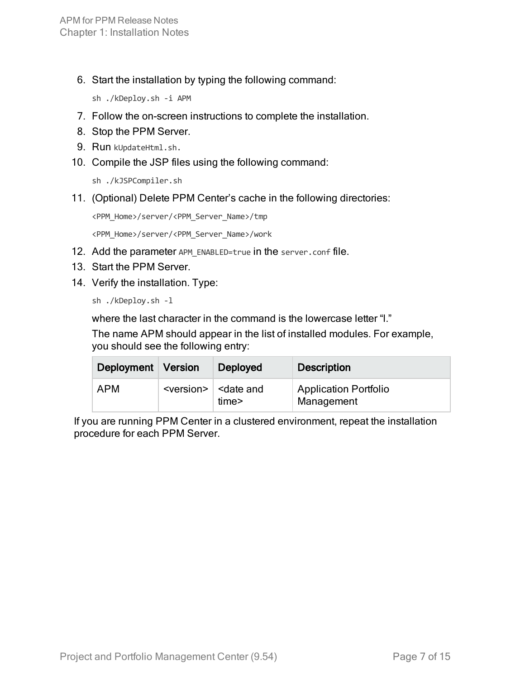- 6. Start the installation by typing the following command:
	- sh ./kDeploy.sh -i APM
- 7. Follow the on-screen instructions to complete the installation.
- 8. Stop the PPM Server.
- 9. Run kUpdateHtml.sh.
- 10. Compile the JSP files using the following command:
	- sh ./kJSPCompiler.sh
- 11. (Optional) Delete PPM Center's cache in the following directories:

```
<PPM_Home>/server/<PPM_Server_Name>/tmp
```
<PPM\_Home>/server/<PPM\_Server\_Name>/work

- 12. Add the parameter APM\_ENABLED=true in the server.conf file.
- 13. Start the PPM Server.
- 14. Verify the installation. Type:

sh ./kDeploy.sh -l

where the last character in the command is the lowercase letter "l."

The name APM should appear in the list of installed modules. For example, you should see the following entry:

| Deployment | Version | <b>Deployed</b>                              | <b>Description</b>                  |
|------------|---------|----------------------------------------------|-------------------------------------|
| <b>APM</b> |         | $\le$ version> $\le$ $\le$ date and<br>time> | Application Portfolio<br>Management |

If you are running PPM Center in a clustered environment, repeat the installation procedure for each PPM Server.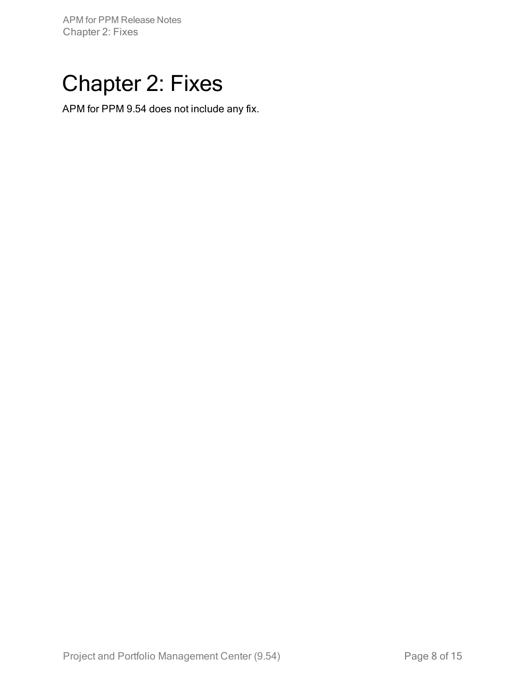APM for PPM Release Notes Chapter 2: Fixes

# <span id="page-7-0"></span>Chapter 2: Fixes

APM for PPM 9.54 does not include any fix.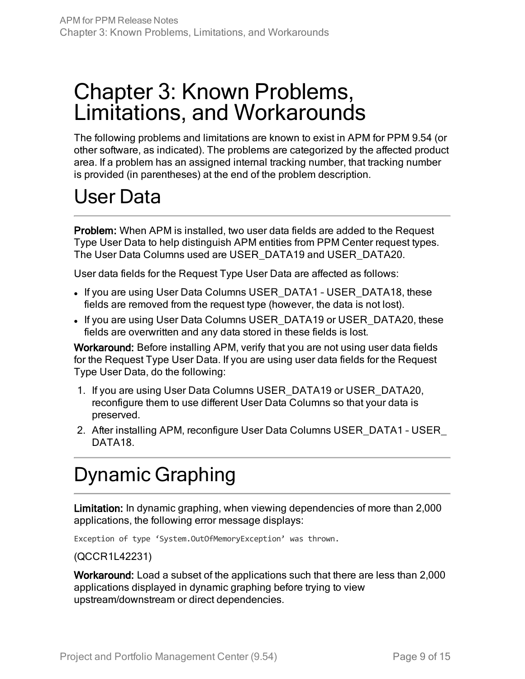## <span id="page-8-0"></span>Chapter 3: Known Problems, Limitations, and Workarounds

The following problems and limitations are known to exist in APM for PPM 9.54 (or other software, as indicated). The problems are categorized by the affected product area. If a problem has an assigned internal tracking number, that tracking number is provided (in parentheses) at the end of the problem description.

## <span id="page-8-1"></span>User Data

Problem: When APM is installed, two user data fields are added to the Request Type User Data to help distinguish APM entities from PPM Center request types. The User Data Columns used are USER\_DATA19 and USER\_DATA20.

User data fields for the Request Type User Data are affected as follows:

- If you are using User Data Columns USER\_DATA1 USER\_DATA18, these fields are removed from the request type (however, the data is not lost).
- If you are using User Data Columns USER\_DATA19 or USER\_DATA20, these fields are overwritten and any data stored in these fields is lost.

Workaround: Before installing APM, verify that you are not using user data fields for the Request Type User Data. If you are using user data fields for the Request Type User Data, do the following:

- 1. If you are using User Data Columns USER\_DATA19 or USER\_DATA20, reconfigure them to use different User Data Columns so that your data is preserved.
- 2. After installing APM, reconfigure User Data Columns USER\_DATA1 USER\_ DATA18.

## <span id="page-8-2"></span>Dynamic Graphing

Limitation: In dynamic graphing, when viewing dependencies of more than 2,000 applications, the following error message displays:

Exception of type 'System.OutOfMemoryException' was thrown.

(QCCR1L42231)

Workaround: Load a subset of the applications such that there are less than 2,000 applications displayed in dynamic graphing before trying to view upstream/downstream or direct dependencies.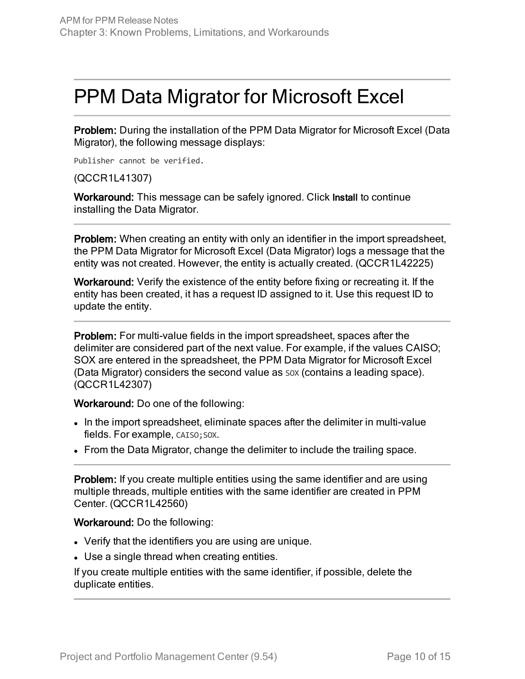### <span id="page-9-0"></span>PPM Data Migrator for Microsoft Excel

Problem: During the installation of the PPM Data Migrator for Microsoft Excel (Data Migrator), the following message displays:

Publisher cannot be verified.

#### (QCCR1L41307)

Workaround: This message can be safely ignored. Click Install to continue installing the Data Migrator.

Problem: When creating an entity with only an identifier in the import spreadsheet, the PPM Data Migrator for Microsoft Excel (Data Migrator) logs a message that the entity was not created. However, the entity is actually created. (QCCR1L42225)

Workaround: Verify the existence of the entity before fixing or recreating it. If the entity has been created, it has a request ID assigned to it. Use this request ID to update the entity.

Problem: For multi-value fields in the import spreadsheet, spaces after the delimiter are considered part of the next value. For example, if the values CAISO; SOX are entered in the spreadsheet, the PPM Data Migrator for Microsoft Excel (Data Migrator) considers the second value as SOX (contains a leading space). (QCCR1L42307)

Workaround: Do one of the following:

- In the import spreadsheet, eliminate spaces after the delimiter in multi-value fields. For example, CAISO; SOX.
- From the Data Migrator, change the delimiter to include the trailing space.

Problem: If you create multiple entities using the same identifier and are using multiple threads, multiple entities with the same identifier are created in PPM Center. (QCCR1L42560)

#### Workaround: Do the following:

- Verify that the identifiers you are using are unique.
- Use a single thread when creating entities.

If you create multiple entities with the same identifier, if possible, delete the duplicate entities.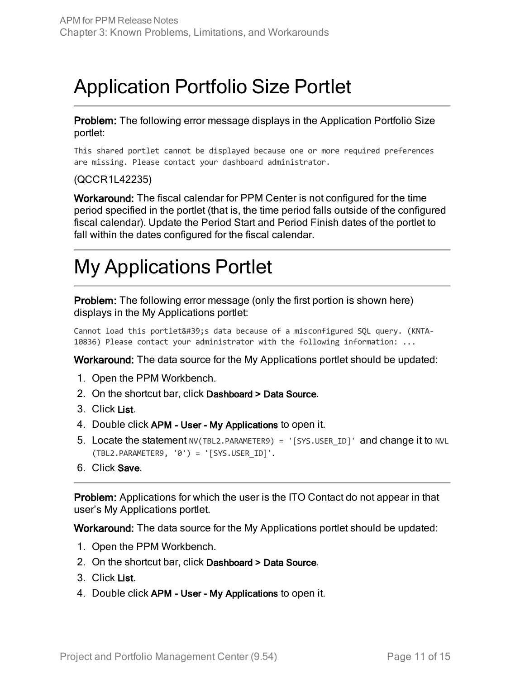## <span id="page-10-0"></span>Application Portfolio Size Portlet

Problem: The following error message displays in the Application Portfolio Size portlet:

This shared portlet cannot be displayed because one or more required preferences are missing. Please contact your dashboard administrator.

#### (QCCR1L42235)

Workaround: The fiscal calendar for PPM Center is not configured for the time period specified in the portlet (that is, the time period falls outside of the configured fiscal calendar). Update the Period Start and Period Finish dates of the portlet to fall within the dates configured for the fiscal calendar.

## <span id="page-10-1"></span>My Applications Portlet

Problem: The following error message (only the first portion is shown here) displays in the My Applications portlet:

Cannot load this portlet's data because of a misconfigured SOL query. (KNTA-10836) Please contact your administrator with the following information: ...

Workaround: The data source for the My Applications portlet should be updated:

- 1. Open the PPM Workbench.
- 2. On the shortcut bar, click Dashboard > Data Source.
- 3. Click List.
- 4. Double click APM User My Applications to open it.
- 5. Locate the statement NV(TBL2.PARAMETER9) = '[SYS.USER\_ID]' and change it to NVL (TBL2.PARAMETER9, '0') = '[SYS.USER\_ID]'.
- 6. Click Save.

Problem: Applications for which the user is the ITO Contact do not appear in that user's My Applications portlet.

Workaround: The data source for the My Applications portlet should be updated:

- 1. Open the PPM Workbench.
- 2. On the shortcut bar, click Dashboard > Data Source.
- 3. Click List.
- 4. Double click APM User My Applications to open it.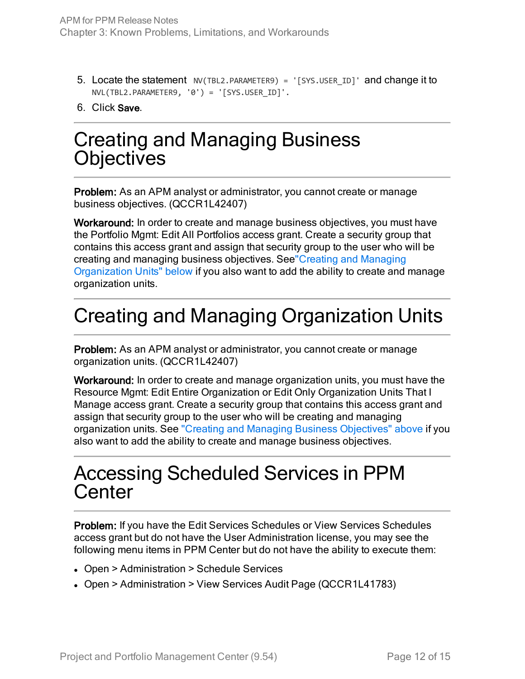- 5. Locate the statement NV(TBL2.PARAMETER9) = '[SYS.USER\_ID]' and change it to NVL(TBL2.PARAMETER9, '0') = '[SYS.USER\_ID]'.
- <span id="page-11-0"></span>6. Click Save.

### Creating and Managing Business **Objectives**

Problem: As an APM analyst or administrator, you cannot create or manage business objectives. (QCCR1L42407)

Workaround: In order to create and manage business objectives, you must have the Portfolio Mgmt: Edit All Portfolios access grant. Create a security group that contains this access grant and assign that security group to the user who will be creating and managing business objectives. See"Creating and [Managing](#page-11-1) [Organization](#page-11-1) Units" below if you also want to add the ability to create and manage organization units.

### <span id="page-11-1"></span>Creating and Managing Organization Units

Problem: As an APM analyst or administrator, you cannot create or manage organization units. (QCCR1L42407)

Workaround: In order to create and manage organization units, you must have the Resource Mgmt: Edit Entire Organization or Edit Only Organization Units That I Manage access grant. Create a security group that contains this access grant and assign that security group to the user who will be creating and managing organization units. See "Creating and Managing Business [Objectives"](#page-11-0) above if you also want to add the ability to create and manage business objectives.

### <span id="page-11-2"></span>Accessing Scheduled Services in PPM Center

Problem: If you have the Edit Services Schedules or View Services Schedules access grant but do not have the User Administration license, you may see the following menu items in PPM Center but do not have the ability to execute them:

- Open > Administration > Schedule Services
- Open > Administration > View Services Audit Page (QCCR1L41783)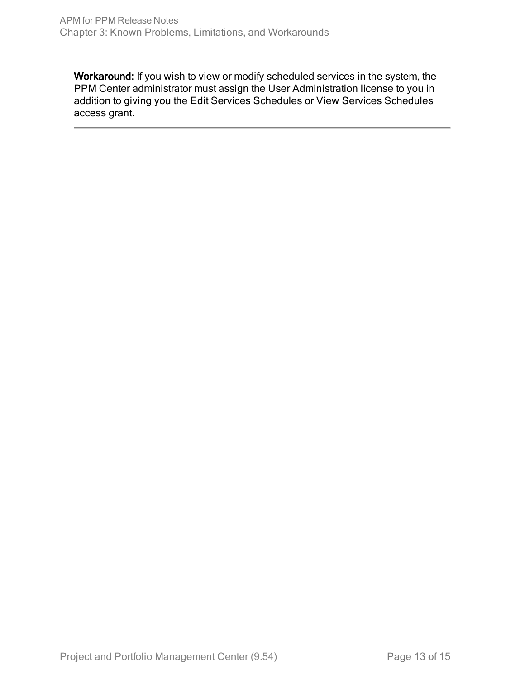Workaround: If you wish to view or modify scheduled services in the system, the PPM Center administrator must assign the User Administration license to you in addition to giving you the Edit Services Schedules or View Services Schedules access grant.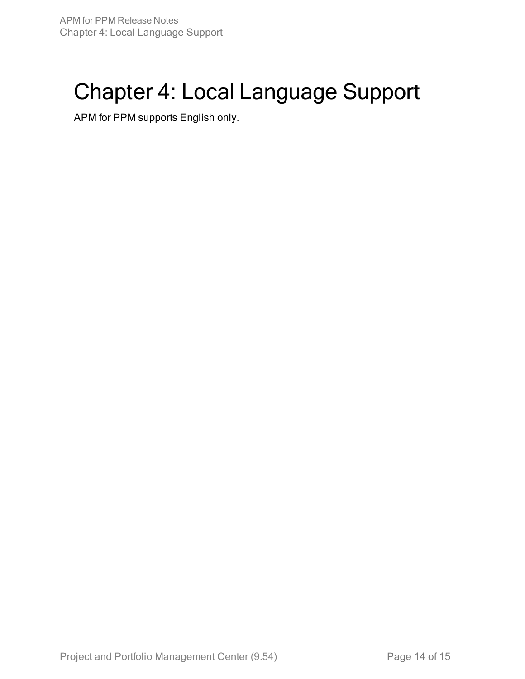# <span id="page-13-0"></span>Chapter 4: Local Language Support

APM for PPM supports English only.